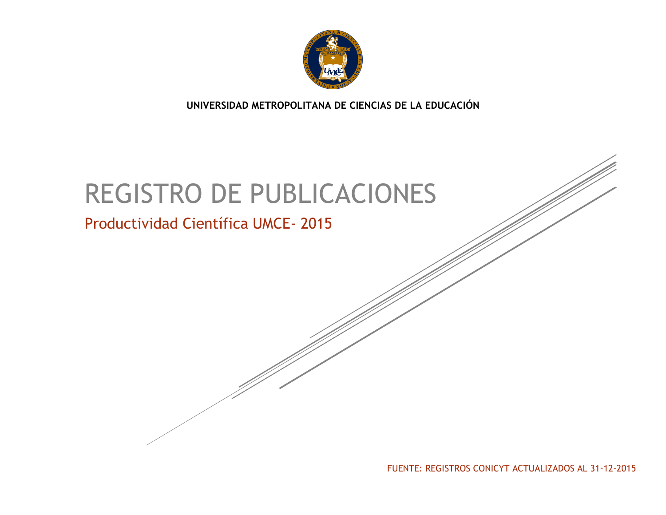

**UNIVERSIDAD METROPOLITANA DE CIENCIAS DE LA EDUCACIÓN**

# REGISTRO DE PUBLICACIONES

# Productividad Científica UMCE- 2015

FUENTE: REGISTROS CONICYT ACTUALIZADOS AL 31-12-2015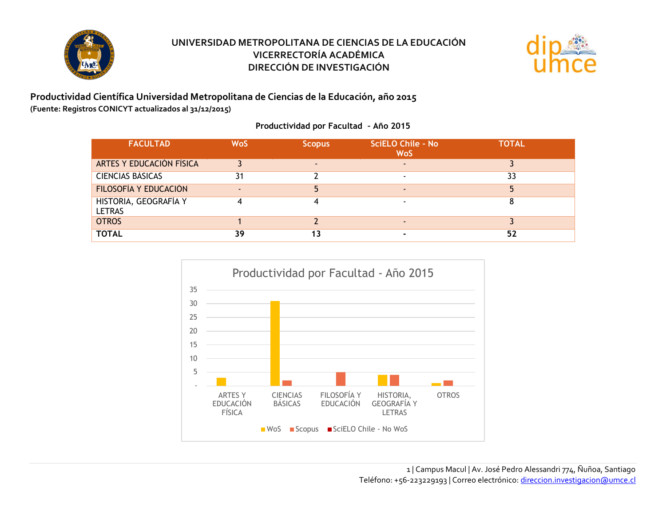



**Productividad Científica Universidad Metropolitana de Ciencias de la Educación, año 2015 (Fuente: Registros CONICYT actualizados al 31/12/2015)**

**Productividad por Facultad – Año 2015**

| <b>FACULTAD</b>                        | <b>WoS</b> | <b>Scopus</b> | <b>SciELO Chile - No</b><br><b>WoS</b> | <b>TOTAL</b> |
|----------------------------------------|------------|---------------|----------------------------------------|--------------|
| ARTES Y EDUCACIÓN FÍSICA               |            |               | ٠                                      |              |
| <b>CIENCIAS BÁSICAS</b>                | 31         |               | $\overline{\phantom{0}}$               | 33           |
| FILOSOFÍA Y EDUCACIÓN                  |            |               | $\blacksquare$                         |              |
| HISTORIA, GEOGRAFÍA Y<br><b>LETRAS</b> |            |               |                                        |              |
| <b>OTROS</b>                           |            |               | $\overline{\phantom{0}}$               |              |
| <b>TOTAL</b>                           | 39         | 13            |                                        | 52           |

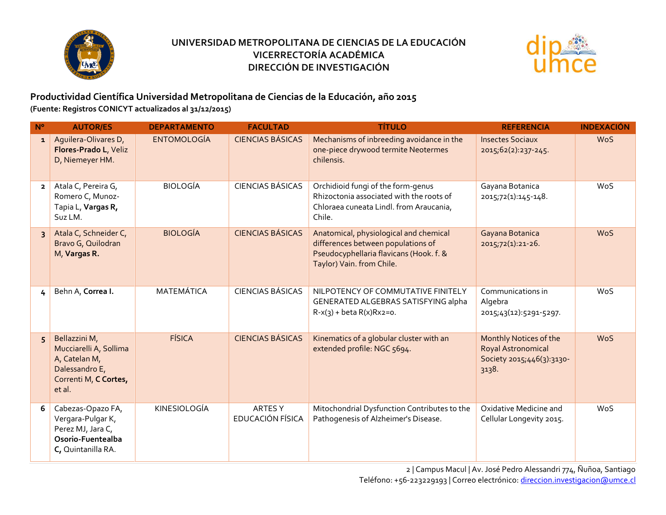



#### **Productividad Científica Universidad Metropolitana de Ciencias de la Educación, año 2015 (Fuente: Registros CONICYT actualizados al 31/12/2015)**

| $N^{\circ}$             | <b>AUTOR/ES</b>                                                                                               | <b>DEPARTAMENTO</b> | <b>FACULTAD</b>                    | <b>TÍTULO</b>                                                                                                                                        | <b>REFERENCIA</b>                                                                  | <b>INDEXACIÓN</b> |
|-------------------------|---------------------------------------------------------------------------------------------------------------|---------------------|------------------------------------|------------------------------------------------------------------------------------------------------------------------------------------------------|------------------------------------------------------------------------------------|-------------------|
| $\mathbf{1}$            | Aquilera-Olivares D,<br>Flores-Prado L, Veliz<br>D, Niemeyer HM.                                              | <b>ENTOMOLOGÍA</b>  | <b>CIENCIAS BÁSICAS</b>            | Mechanisms of inbreeding avoidance in the<br>one-piece drywood termite Neotermes<br>chilensis.                                                       | <b>Insectes Sociaux</b><br>2015;62(2):237-245.                                     | <b>WoS</b>        |
| $\overline{\mathbf{2}}$ | Atala C, Pereira G,<br>Romero C, Munoz-<br>Tapia L, Vargas R,<br>Suz LM.                                      | <b>BIOLOGÍA</b>     | <b>CIENCIAS BÁSICAS</b>            | Orchidioid fungi of the form-genus<br>Rhizoctonia associated with the roots of<br>Chloraea cuneata Lindl. from Araucania,<br>Chile.                  | Gayana Botanica<br>2015;72(1):145-148.                                             | WoS               |
| $\overline{\mathbf{3}}$ | Atala C, Schneider C,<br>Bravo G, Quilodran<br>M, Vargas R.                                                   | <b>BIOLOGÍA</b>     | <b>CIENCIAS BÁSICAS</b>            | Anatomical, physiological and chemical<br>differences between populations of<br>Pseudocyphellaria flavicans (Hook. f. &<br>Taylor) Vain. from Chile. | Gayana Botanica<br>$2015,72(1):21-26.$                                             | <b>WoS</b>        |
| 4                       | Behn A, Correa I.                                                                                             | <b>MATEMÁTICA</b>   | <b>CIENCIAS BÁSICAS</b>            | NILPOTENCY OF COMMUTATIVE FINITELY<br>GENERATED ALGEBRAS SATISFYING alpha<br>$R-x(3) + \text{beta } R(x)Rx2=0.$                                      | Communications in<br>Algebra<br>2015;43(12):5291-5297.                             | WoS               |
| 5                       | Bellazzini M,<br>Mucciarelli A, Sollima<br>A, Catelan M,<br>Dalessandro E,<br>Correnti M, C Cortes,<br>et al. | <b>FÍSICA</b>       | <b>CIENCIAS BÁSICAS</b>            | Kinematics of a globular cluster with an<br>extended profile: NGC 5694.                                                                              | Monthly Notices of the<br>Royal Astronomical<br>Society 2015;446(3):3130-<br>3138. | <b>WoS</b>        |
| 6                       | Cabezas-Opazo FA,<br>Vergara-Pulgar K,<br>Perez MJ, Jara C,<br>Osorio-Fuentealba<br>C, Quintanilla RA.        | KINESIOLOGÍA        | <b>ARTES Y</b><br>EDUCACIÓN FÍSICA | Mitochondrial Dysfunction Contributes to the<br>Pathogenesis of Alzheimer's Disease.                                                                 | Oxidative Medicine and<br>Cellular Longevity 2015.                                 | <b>WoS</b>        |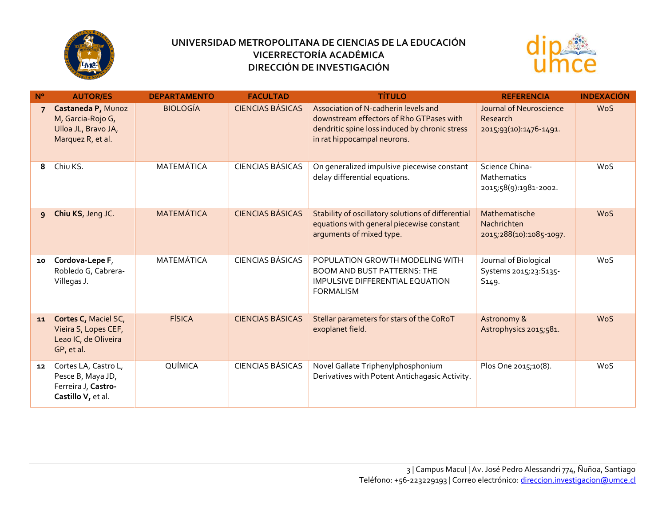



| $N^{\circ}$    | <b>AUTOR/ES</b>                                                                        | <b>DEPARTAMENTO</b> | <b>FACULTAD</b>         | <b>TÍTULO</b>                                                                                                                                                     | <b>REFERENCIA</b>                                                    | <b>INDEXACIÓN</b> |
|----------------|----------------------------------------------------------------------------------------|---------------------|-------------------------|-------------------------------------------------------------------------------------------------------------------------------------------------------------------|----------------------------------------------------------------------|-------------------|
| $\overline{7}$ | Castaneda P, Munoz<br>M, Garcia-Rojo G,<br>Ulloa JL, Bravo JA,<br>Marquez R, et al.    | <b>BIOLOGÍA</b>     | <b>CIENCIAS BÁSICAS</b> | Association of N-cadherin levels and<br>downstream effectors of Rho GTPases with<br>dendritic spine loss induced by chronic stress<br>in rat hippocampal neurons. | Journal of Neuroscience<br>Research<br>2015;93(10):1476-1491.        | <b>WoS</b>        |
| 8              | Chiu KS.                                                                               | <b>MATEMÁTICA</b>   | <b>CIENCIAS BÁSICAS</b> | On generalized impulsive piecewise constant<br>delay differential equations.                                                                                      | Science China-<br>Mathematics<br>2015;58(9):1981-2002.               | WoS               |
| 9              | Chiu KS, Jeng JC.                                                                      | <b>MATEMÁTICA</b>   | <b>CIENCIAS BÁSICAS</b> | Stability of oscillatory solutions of differential<br>equations with general piecewise constant<br>arguments of mixed type.                                       | Mathematische<br>Nachrichten<br>2015;288(10):1085-1097.              | <b>WoS</b>        |
| 10             | Cordova-Lepe F,<br>Robledo G, Cabrera-<br>Villegas J.                                  | MATEMÁTICA          | <b>CIENCIAS BÁSICAS</b> | POPULATION GROWTH MODELING WITH<br>BOOM AND BUST PATTERNS: THE<br>IMPULSIVE DIFFERENTIAL EQUATION<br><b>FORMALISM</b>                                             | Journal of Biological<br>Systems 2015;23:S135-<br>S <sub>149</sub> . | <b>WoS</b>        |
| 11             | Cortes C, Maciel SC,<br>Vieira S, Lopes CEF,<br>Leao IC, de Oliveira<br>GP, et al.     | <b>FÍSICA</b>       | <b>CIENCIAS BÁSICAS</b> | Stellar parameters for stars of the CoRoT<br>exoplanet field.                                                                                                     | Astronomy &<br>Astrophysics 2015;581.                                | <b>WoS</b>        |
| 12             | Cortes LA, Castro L,<br>Pesce B, Maya JD,<br>Ferreira J, Castro-<br>Castillo V, et al. | QUÍMICA             | <b>CIENCIAS BÁSICAS</b> | Novel Gallate Triphenylphosphonium<br>Derivatives with Potent Antichagasic Activity.                                                                              | Plos One 2015;10(8).                                                 | WoS               |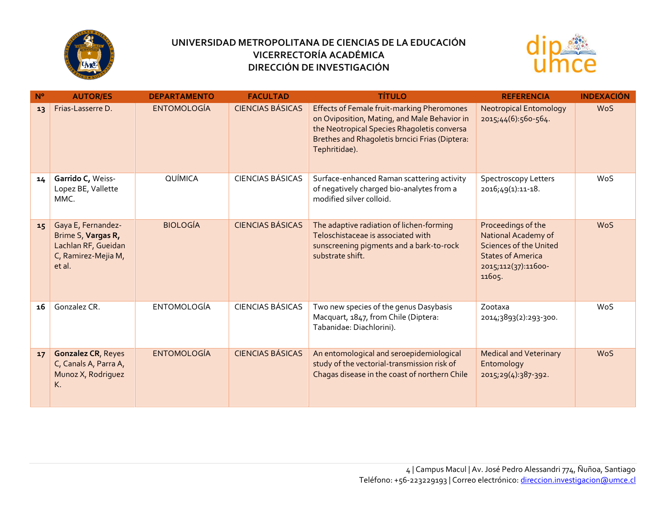



| $N^{\circ}$ | <b>AUTOR/ES</b>                                                                                  | <b>DEPARTAMENTO</b> | <b>FACULTAD</b>         | <b>TÍTULO</b>                                                                                                                                                                                                       | <b>REFERENCIA</b>                                                                                                                       | <b>INDEXACIÓN</b> |
|-------------|--------------------------------------------------------------------------------------------------|---------------------|-------------------------|---------------------------------------------------------------------------------------------------------------------------------------------------------------------------------------------------------------------|-----------------------------------------------------------------------------------------------------------------------------------------|-------------------|
| 13          | Frias-Lasserre D.                                                                                | <b>ENTOMOLOGÍA</b>  | <b>CIENCIAS BÁSICAS</b> | <b>Effects of Female fruit-marking Pheromones</b><br>on Oviposition, Mating, and Male Behavior in<br>the Neotropical Species Rhagoletis conversa<br>Brethes and Rhagoletis brncici Frias (Diptera:<br>Tephritidae). | <b>Neotropical Entomology</b><br>2015;44(6):560-564.                                                                                    | <b>WoS</b>        |
| 14          | Garrido C, Weiss-<br>Lopez BE, Vallette<br>MMC.                                                  | QUÍMICA             | <b>CIENCIAS BÁSICAS</b> | Surface-enhanced Raman scattering activity<br>of negatively charged bio-analytes from a<br>modified silver colloid.                                                                                                 | <b>Spectroscopy Letters</b><br>2016;49(1):11-18.                                                                                        | WoS               |
| 15          | Gaya E, Fernandez-<br>Brime S, Vargas R,<br>Lachlan RF, Gueidan<br>C, Ramirez-Mejia M,<br>et al. | <b>BIOLOGÍA</b>     | <b>CIENCIAS BÁSICAS</b> | The adaptive radiation of lichen-forming<br>Teloschistaceae is associated with<br>sunscreening pigments and a bark-to-rock<br>substrate shift.                                                                      | Proceedings of the<br>National Academy of<br><b>Sciences of the United</b><br><b>States of America</b><br>2015;112(37):11600-<br>11605. | <b>WoS</b>        |
| 16          | Gonzalez CR.                                                                                     | <b>ENTOMOLOGÍA</b>  | <b>CIENCIAS BÁSICAS</b> | Two new species of the genus Dasybasis<br>Macquart, 1847, from Chile (Diptera:<br>Tabanidae: Diachlorini).                                                                                                          | Zootaxa<br>2014;3893(2):293-300.                                                                                                        | WoS               |
| 17          | <b>Gonzalez CR, Reyes</b><br>C, Canals A, Parra A,<br>Munoz X, Rodriguez<br>K.                   | <b>ENTOMOLOGÍA</b>  | <b>CIENCIAS BÁSICAS</b> | An entomological and seroepidemiological<br>study of the vectorial-transmission risk of<br>Chagas disease in the coast of northern Chile                                                                            | <b>Medical and Veterinary</b><br>Entomology<br>2015;29(4):387-392.                                                                      | <b>WoS</b>        |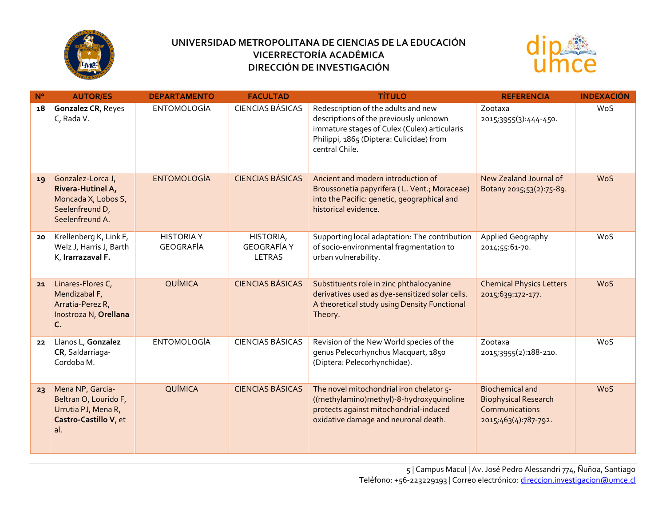



| $N^{\circ}$ | <b>AUTOR/ES</b>                                                                                     | <b>DEPARTAMENTO</b>            | <b>FACULTAD</b>                           | <b>TÍTULO</b>                                                                                                                                                                               | <b>REFERENCIA</b>                                                                               | <b>INDEXACIÓN</b> |
|-------------|-----------------------------------------------------------------------------------------------------|--------------------------------|-------------------------------------------|---------------------------------------------------------------------------------------------------------------------------------------------------------------------------------------------|-------------------------------------------------------------------------------------------------|-------------------|
| 18          | Gonzalez CR, Reyes<br>C, Rada V.                                                                    | <b>ENTOMOLOGÍA</b>             | <b>CIENCIAS BÁSICAS</b>                   | Redescription of the adults and new<br>descriptions of the previously unknown<br>immature stages of Culex (Culex) articularis<br>Philippi, 1865 (Diptera: Culicidae) from<br>central Chile. | Zootaxa<br>2015;3955(3):444-450.                                                                | WoS               |
| 19          | Gonzalez-Lorca J,<br>Rivera-Hutinel A,<br>Moncada X, Lobos S,<br>Seelenfreund D,<br>Seelenfreund A. | <b>ENTOMOLOGÍA</b>             | <b>CIENCIAS BÁSICAS</b>                   | Ancient and modern introduction of<br>Broussonetia papyrifera (L. Vent.; Moraceae)<br>into the Pacific: genetic, geographical and<br>historical evidence.                                   | New Zealand Journal of<br>Botany 2015;53(2):75-89.                                              | <b>WoS</b>        |
| 20          | Krellenberg K, Link F,<br>Welz J, Harris J, Barth<br>K, Irarrazaval F.                              | <b>HISTORIA Y</b><br>GEOGRAFÍA | HISTORIA,<br><b>GEOGRAFÍA Y</b><br>LETRAS | Supporting local adaptation: The contribution<br>of socio-environmental fragmentation to<br>urban vulnerability.                                                                            | Applied Geography<br>2014;55:61-70.                                                             | WoS               |
| 21          | Linares-Flores C,<br>Mendizabal F,<br>Arratia-Perez R,<br>Inostroza N, Orellana<br>C.               | QUÍMICA                        | <b>CIENCIAS BÁSICAS</b>                   | Substituents role in zinc phthalocyanine<br>derivatives used as dye-sensitized solar cells.<br>A theoretical study using Density Functional<br>Theory.                                      | <b>Chemical Physics Letters</b><br>2015;639:172-177.                                            | <b>WoS</b>        |
| 22          | Llanos L, Gonzalez<br>CR, Saldarriaga-<br>Cordoba M.                                                | <b>ENTOMOLOGÍA</b>             | <b>CIENCIAS BÁSICAS</b>                   | Revision of the New World species of the<br>genus Pelecorhynchus Macquart, 1850<br>(Diptera: Pelecorhynchidae).                                                                             | Zootaxa<br>2015;3955(2):188-210.                                                                | WoS               |
| 23          | Mena NP, Garcia-<br>Beltran O, Lourido F,<br>Urrutia PJ, Mena R,<br>Castro-Castillo V, et<br>al.    | QUÍMICA                        | <b>CIENCIAS BÁSICAS</b>                   | The novel mitochondrial iron chelator 5-<br>((methylamino)methyl)-8-hydroxyquinoline<br>protects against mitochondrial-induced<br>oxidative damage and neuronal death.                      | <b>Biochemical and</b><br><b>Biophysical Research</b><br>Communications<br>2015;463(4):787-792. | <b>WoS</b>        |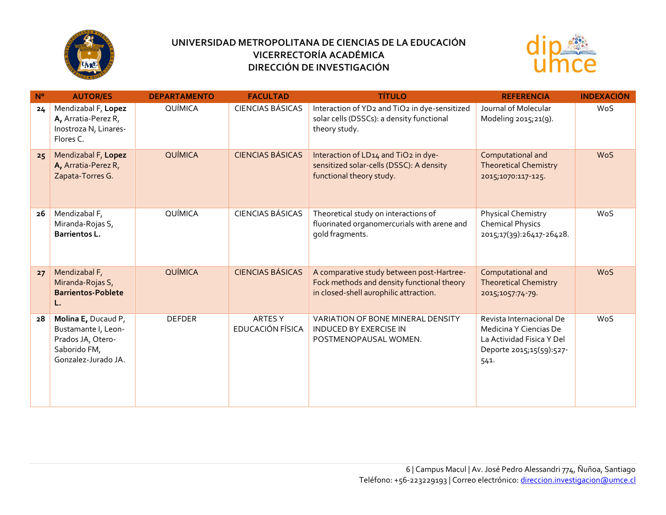



| $N^{\circ}$ | <b>AUTOR/ES</b>                                                                                        | <b>DEPARTAMENTO</b> | <b>FACULTAD</b>                    | <b>TÍTULO</b>                                                                                                                     | <b>REFERENCIA</b>                                                                                                   | <b>INDEXACIÓN</b> |
|-------------|--------------------------------------------------------------------------------------------------------|---------------------|------------------------------------|-----------------------------------------------------------------------------------------------------------------------------------|---------------------------------------------------------------------------------------------------------------------|-------------------|
| 24          | Mendizabal F, Lopez<br>A, Arratia-Perez R,<br>Inostroza N, Linares-<br>Flores C.                       | QUÍMICA             | <b>CIENCIAS BÁSICAS</b>            | Interaction of YD2 and TiO2 in dye-sensitized<br>solar cells (DSSCs): a density functional<br>theory study.                       | Journal of Molecular<br>Modeling 2015;21(9).                                                                        | WoS               |
| 25          | Mendizabal F, Lopez<br>A, Arratia-Perez R,<br>Zapata-Torres G.                                         | QUÍMICA             | <b>CIENCIAS BÁSICAS</b>            | Interaction of LD14 and TiO2 in dye-<br>sensitized solar-cells (DSSC): A density<br>functional theory study.                      | Computational and<br><b>Theoretical Chemistry</b><br>2015;1070:117-125.                                             | <b>WoS</b>        |
| 26          | Mendizabal F,<br>Miranda-Rojas S,<br><b>Barrientos L.</b>                                              | QUÍMICA             | <b>CIENCIAS BÁSICAS</b>            | Theoretical study on interactions of<br>fluorinated organomercurials with arene and<br>gold fragments.                            | <b>Physical Chemistry</b><br><b>Chemical Physics</b><br>2015;17(39):26417-26428.                                    | WoS               |
| 27          | Mendizabal F,<br>Miranda-Rojas S,<br><b>Barrientos-Poblete</b><br>L.                                   | QUÍMICA             | <b>CIENCIAS BÁSICAS</b>            | A comparative study between post-Hartree-<br>Fock methods and density functional theory<br>in closed-shell aurophilic attraction. | Computational and<br><b>Theoretical Chemistry</b><br>2015;1057:74-79.                                               | <b>WoS</b>        |
| 28          | Molina E, Ducaud P,<br>Bustamante I, Leon-<br>Prados JA, Otero-<br>Saborido FM,<br>Gonzalez-Jurado JA. | <b>DEFDER</b>       | <b>ARTES Y</b><br>EDUCACIÓN FÍSICA | VARIATION OF BONE MINERAL DENSITY<br><b>INDUCED BY EXERCISE IN</b><br>POSTMENOPAUSAL WOMEN.                                       | Revista Internacional De<br>Medicina Y Ciencias De<br>La Actividad Fisica Y Del<br>Deporte 2015;15(59):527-<br>541. | WoS               |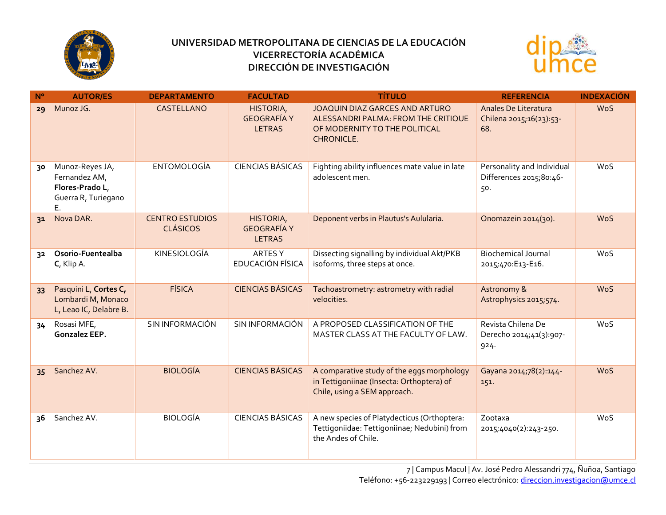



| $N^{\circ}$ | <b>AUTOR/ES</b>                                                                  | <b>DEPARTAMENTO</b>                       | <b>FACULTAD</b>                                  | <b>TÍTULO</b>                                                                                                           | <b>REFERENCIA</b>                                            | <b>INDEXACIÓN</b> |
|-------------|----------------------------------------------------------------------------------|-------------------------------------------|--------------------------------------------------|-------------------------------------------------------------------------------------------------------------------------|--------------------------------------------------------------|-------------------|
| 29          | Munoz JG.                                                                        | CASTELLANO                                | HISTORIA,<br><b>GEOGRAFÍA Y</b><br><b>LETRAS</b> | JOAQUIN DIAZ GARCES AND ARTURO<br>ALESSANDRI PALMA: FROM THE CRITIQUE<br>OF MODERNITY TO THE POLITICAL<br>CHRONICLE.    | Anales De Literatura<br>Chilena 2015;16(23):53-<br>68.       | <b>WoS</b>        |
| 30          | Munoz-Reyes JA,<br>Fernandez AM,<br>Flores-Prado L,<br>Guerra R, Turiegano<br>Ε. | <b>ENTOMOLOGÍA</b>                        | <b>CIENCIAS BÁSICAS</b>                          | Fighting ability influences mate value in late<br>adolescent men.                                                       | Personality and Individual<br>Differences 2015;80:46-<br>50. | WoS               |
| 31          | Nova DAR.                                                                        | <b>CENTRO ESTUDIOS</b><br><b>CLÁSICOS</b> | HISTORIA,<br><b>GEOGRAFÍA Y</b><br><b>LETRAS</b> | Deponent verbs in Plautus's Aulularia.                                                                                  | Onomazein 2014(30).                                          | <b>WoS</b>        |
| 32          | Osorio-Fuentealba<br>$C$ , Klip A.                                               | KINESIOLOGÍA                              | ARTES Y<br>EDUCACIÓN FÍSICA                      | Dissecting signalling by individual Akt/PKB<br>isoforms, three steps at once.                                           | <b>Biochemical Journal</b><br>2015;470:E13-E16.              | WoS               |
| 33          | Pasquini L, Cortes C,<br>Lombardi M, Monaco<br>L, Leao IC, Delabre B.            | <b>FÍSICA</b>                             | <b>CIENCIAS BÁSICAS</b>                          | Tachoastrometry: astrometry with radial<br>velocities.                                                                  | Astronomy &<br>Astrophysics 2015;574.                        | <b>WoS</b>        |
| 34          | Rosasi MFE,<br>Gonzalez EEP.                                                     | SIN INFORMACIÓN                           | SIN INFORMACIÓN                                  | A PROPOSED CLASSIFICATION OF THE<br>MASTER CLASS AT THE FACULTY OF LAW.                                                 | Revista Chilena De<br>Derecho 2014;41(3):907-<br>924.        | WoS               |
| 35          | Sanchez AV.                                                                      | <b>BIOLOGÍA</b>                           | <b>CIENCIAS BÁSICAS</b>                          | A comparative study of the eggs morphology<br>in Tettigoniinae (Insecta: Orthoptera) of<br>Chile, using a SEM approach. | Gayana 2014;78(2):144-<br>151.                               | <b>WoS</b>        |
| 36          | Sanchez AV.                                                                      | <b>BIOLOGÍA</b>                           | <b>CIENCIAS BÁSICAS</b>                          | A new species of Platydecticus (Orthoptera:<br>Tettigoniidae: Tettigoniinae; Nedubini) from<br>the Andes of Chile.      | Zootaxa<br>2015;4040(2):243-250.                             | WoS               |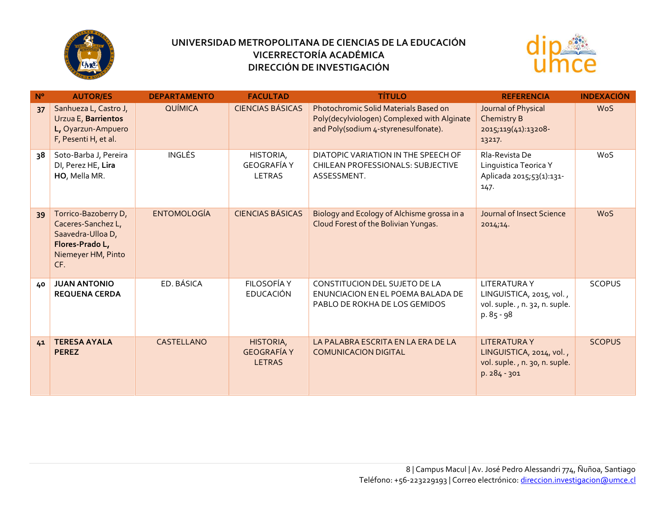



| $N^{\circ}$ | <b>AUTOR/ES</b>                                                                                                 | <b>DEPARTAMENTO</b> | <b>FACULTAD</b>                                  | <b>TÍTULO</b>                                                                                                                | <b>REFERENCIA</b>                                                                               | <b>INDEXACIÓN</b> |
|-------------|-----------------------------------------------------------------------------------------------------------------|---------------------|--------------------------------------------------|------------------------------------------------------------------------------------------------------------------------------|-------------------------------------------------------------------------------------------------|-------------------|
| 37          | Sanhueza L, Castro J,<br>Urzua E, Barrientos<br>L, Oyarzun-Ampuero<br>F, Pesenti H, et al.                      | QUÍMICA             | <b>CIENCIAS BÁSICAS</b>                          | Photochromic Solid Materials Based on<br>Poly(decylviologen) Complexed with Alginate<br>and Poly(sodium 4-styrenesulfonate). | Journal of Physical<br>Chemistry B<br>2015;119(41):13208-<br>13217.                             | <b>WoS</b>        |
| 38          | Soto-Barba J, Pereira<br>DI, Perez HE, Lira<br>HO, Mella MR.                                                    | <b>INGLÉS</b>       | HISTORIA,<br><b>GEOGRAFÍA Y</b><br><b>LETRAS</b> | DIATOPIC VARIATION IN THE SPEECH OF<br>CHILEAN PROFESSIONALS: SUBJECTIVE<br>ASSESSMENT.                                      | Rla-Revista De<br>Linguistica Teorica Y<br>Aplicada 2015;53(1):131-<br>147.                     | WoS               |
| 39          | Torrico-Bazoberry D,<br>Caceres-Sanchez L,<br>Saavedra-Ulloa D,<br>Flores-Prado L,<br>Niemeyer HM, Pinto<br>CF. | <b>ENTOMOLOGÍA</b>  | <b>CIENCIAS BÁSICAS</b>                          | Biology and Ecology of Alchisme grossa in a<br>Cloud Forest of the Bolivian Yungas.                                          | Journal of Insect Science<br>2014, 14.                                                          | <b>WoS</b>        |
| 40          | <b>JUAN ANTONIO</b><br><b>REQUENA CERDA</b>                                                                     | ED. BÁSICA          | <b>FILOSOFÍA Y</b><br><b>EDUCACIÓN</b>           | CONSTITUCION DEL SUJETO DE LA<br>ENUNCIACION EN EL POEMA BALADA DE<br>PABLO DE ROKHA DE LOS GEMIDOS                          | <b>LITERATURAY</b><br>LINGUISTICA, 2015, vol.,<br>vol. suple., n. 32, n. suple.<br>$p. 85 - 98$ | <b>SCOPUS</b>     |
| 41          | <b>TERESA AYALA</b><br><b>PEREZ</b>                                                                             | CASTELLANO          | HISTORIA,<br><b>GEOGRAFÍA Y</b><br><b>LETRAS</b> | LA PALABRA ESCRITA EN LA ERA DE LA<br><b>COMUNICACION DIGITAL</b>                                                            | <b>LITERATURAY</b><br>LINGUISTICA, 2014, vol.,<br>vol. suple., n. 30, n. suple.<br>p. 284 - 301 | <b>SCOPUS</b>     |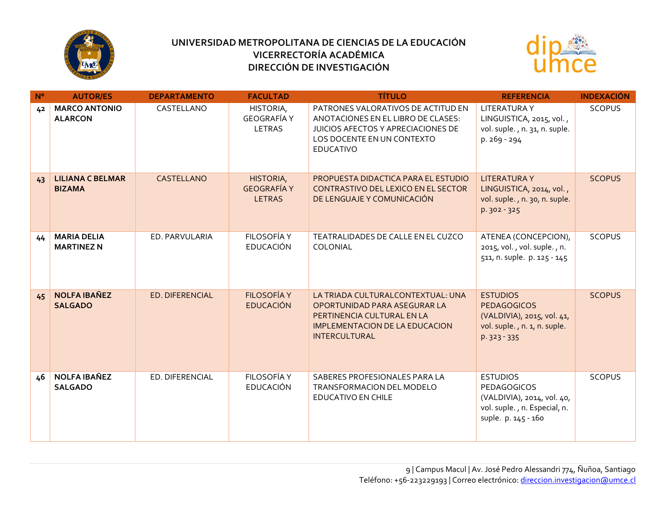



| $N^{\circ}$ | <b>AUTOR/ES</b>                          | <b>DEPARTAMENTO</b>    | <b>FACULTAD</b>                                  | <b>TÍTULO</b>                                                                                                                                                    | <b>REFERENCIA</b>                                                                                                    | <b>INDEXACIÓN</b> |
|-------------|------------------------------------------|------------------------|--------------------------------------------------|------------------------------------------------------------------------------------------------------------------------------------------------------------------|----------------------------------------------------------------------------------------------------------------------|-------------------|
| 42          | <b>MARCO ANTONIO</b><br><b>ALARCON</b>   | CASTELLANO             | HISTORIA,<br><b>GEOGRAFÍA Y</b><br><b>LETRAS</b> | PATRONES VALORATIVOS DE ACTITUD EN<br>ANOTACIONES EN EL LIBRO DE CLASES:<br>JUICIOS AFECTOS Y APRECIACIONES DE<br>LOS DOCENTE EN UN CONTEXTO<br><b>EDUCATIVO</b> | <b>LITERATURAY</b><br>LINGUISTICA, 2015, vol.,<br>vol. suple., n. 31, n. suple.<br>p. 269 - 294                      | <b>SCOPUS</b>     |
| 43          | <b>LILIANA C BELMAR</b><br><b>BIZAMA</b> | CASTELLANO             | HISTORIA,<br><b>GEOGRAFÍA Y</b><br><b>LETRAS</b> | PROPUESTA DIDACTICA PARA EL ESTUDIO<br>CONTRASTIVO DEL LEXICO EN EL SECTOR<br>DE LENGUAJE Y COMUNICACIÓN                                                         | <b>LITERATURAY</b><br>LINGUISTICA, 2014, vol.,<br>vol. suple., n. 30, n. suple.<br>$p.302 - 325$                     | <b>SCOPUS</b>     |
| 44          | <b>MARIA DELIA</b><br><b>MARTINEZ N</b>  | ED. PARVULARIA         | FILOSOFÍA Y<br><b>EDUCACIÓN</b>                  | TEATRALIDADES DE CALLE EN EL CUZCO<br>COLONIAL                                                                                                                   | ATENEA (CONCEPCION),<br>2015, vol., vol. suple., n.<br>511, n. suple. p. 125 - 145                                   | <b>SCOPUS</b>     |
| 45          | <b>NOLFA IBAÑEZ</b><br><b>SALGADO</b>    | <b>ED. DIFERENCIAL</b> | <b>FILOSOFÍA Y</b><br><b>EDUCACIÓN</b>           | LA TRIADA CULTURALCONTEXTUAL: UNA<br>OPORTUNIDAD PARA ASEGURAR LA<br>PERTINENCIA CULTURAL EN LA<br><b>IMPLEMENTACION DE LA EDUCACION</b><br><b>INTERCULTURAL</b> | <b>ESTUDIOS</b><br><b>PEDAGOGICOS</b><br>(VALDIVIA), 2015, vol. 41,<br>vol. suple., n. 1, n. suple.<br>$p.323 - 335$ | <b>SCOPUS</b>     |
| 46          | <b>NOLFA IBAÑEZ</b><br><b>SALGADO</b>    | ED. DIFERENCIAL        | <b>FILOSOFÍA Y</b><br><b>EDUCACIÓN</b>           | SABERES PROFESIONALES PARA LA<br>TRANSFORMACION DEL MODELO<br><b>EDUCATIVO EN CHILE</b>                                                                          | <b>ESTUDIOS</b><br>PEDAGOGICOS<br>(VALDIVIA), 2014, vol. 40,<br>vol. suple., n. Especial, n.<br>suple. p. 145 - 160  | <b>SCOPUS</b>     |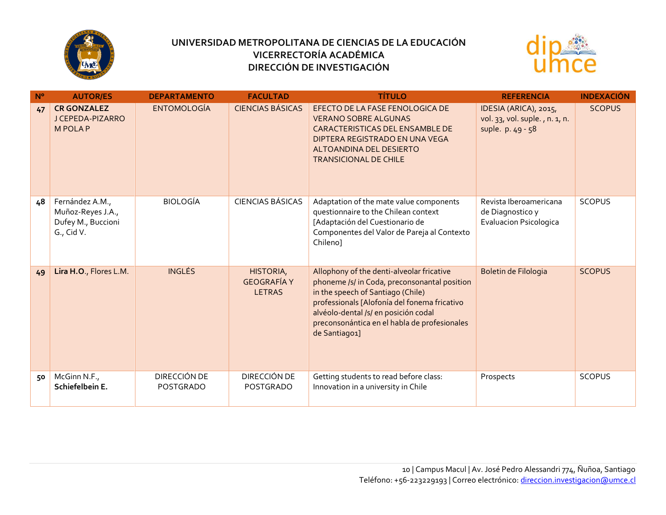



| $N^{\circ}$ | <b>AUTOR/ES</b>                                                          | <b>DEPARTAMENTO</b>              | <b>FACULTAD</b>                                  | <b>TÍTULO</b>                                                                                                                                                                                                                                                                           | <b>REFERENCIA</b>                                                            | <b>INDEXACIÓN</b> |
|-------------|--------------------------------------------------------------------------|----------------------------------|--------------------------------------------------|-----------------------------------------------------------------------------------------------------------------------------------------------------------------------------------------------------------------------------------------------------------------------------------------|------------------------------------------------------------------------------|-------------------|
| 47          | <b>CR GONZALEZ</b><br>J CEPEDA-PIZARRO<br><b>MPOLAP</b>                  | <b>ENTOMOLOGÍA</b>               | <b>CIENCIAS BÁSICAS</b>                          | EFECTO DE LA FASE FENOLOGICA DE<br><b>VERANO SOBRE ALGUNAS</b><br>CARACTERISTICAS DEL ENSAMBLE DE<br>DIPTERA REGISTRADO EN UNA VEGA<br>ALTOANDINA DEL DESIERTO<br><b>TRANSICIONAL DE CHILE</b>                                                                                          | IDESIA (ARICA), 2015,<br>vol. 33, vol. suple., n. 1, n.<br>suple. p. 49 - 58 | <b>SCOPUS</b>     |
| 48          | Fernández A.M.,<br>Muñoz-Reyes J.A.,<br>Dufey M., Buccioni<br>G., Cid V. | <b>BIOLOGÍA</b>                  | <b>CIENCIAS BÁSICAS</b>                          | Adaptation of the mate value components<br>questionnaire to the Chilean context<br>[Adaptación del Cuestionario de<br>Componentes del Valor de Pareja al Contexto<br>Chileno <sub>1</sub>                                                                                               | Revista Iberoamericana<br>de Diagnostico y<br><b>Evaluacion Psicologica</b>  | <b>SCOPUS</b>     |
| 49          | Lira H.O., Flores L.M.                                                   | <b>INGLÉS</b>                    | HISTORIA,<br><b>GEOGRAFÍA Y</b><br><b>LETRAS</b> | Allophony of the denti-alveolar fricative<br>phoneme /s/ in Coda, preconsonantal position<br>in the speech of Santiago (Chile)<br>professionals [Alofonía del fonema fricativo<br>alvéolo-dental /s/ en posición codal<br>preconsonántica en el habla de profesionales<br>de Santiago1] | Boletin de Filologia                                                         | <b>SCOPUS</b>     |
| 50          | McGinn N.F.,<br>Schiefelbein E.                                          | DIRECCIÓN DE<br><b>POSTGRADO</b> | DIRECCIÓN DE<br>POSTGRADO                        | Getting students to read before class:<br>Innovation in a university in Chile                                                                                                                                                                                                           | Prospects                                                                    | <b>SCOPUS</b>     |